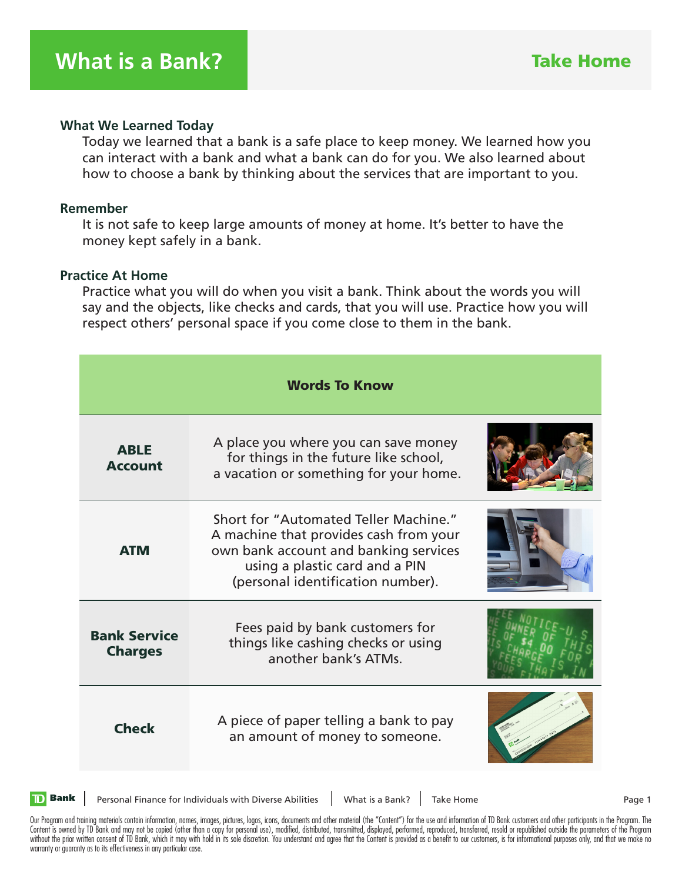#### **What We Learned Today**

 Today we learned that a bank is a safe place to keep money. We learned how you can interact with a bank and what a bank can do for you. We also learned about how to choose a bank by thinking about the services that are important to you.

### **Remember**

 It is not safe to keep large amounts of money at home. It's better to have the money kept safely in a bank.

#### **Practice At Home**

 Practice what you will do when you visit a bank. Think about the words you will say and the objects, like checks and cards, that you will use. Practice how you will respect others' personal space if you come close to them in the bank.

| <b>Words To Know</b>                  |                                                                                                                                                                                                 |  |  |
|---------------------------------------|-------------------------------------------------------------------------------------------------------------------------------------------------------------------------------------------------|--|--|
| <b>ABLE</b><br><b>Account</b>         | A place you where you can save money<br>for things in the future like school,<br>a vacation or something for your home.                                                                         |  |  |
| <b>ATM</b>                            | Short for "Automated Teller Machine."<br>A machine that provides cash from your<br>own bank account and banking services<br>using a plastic card and a PIN<br>(personal identification number). |  |  |
| <b>Bank Service</b><br><b>Charges</b> | Fees paid by bank customers for<br>things like cashing checks or using<br>another bank's ATMs.                                                                                                  |  |  |
| <b>Check</b>                          | A piece of paper telling a bank to pay<br>an amount of money to someone.                                                                                                                        |  |  |



Personal Finance for Individuals with Diverse Abilities | What is a Bank? | Take Home Page 1

Our Program and training materials contain information, names, images, pictures, logos, icons, documents and other material (the "Content") for the use and information of TD Bank customers and other participants in the Pro Content is owned by TD Bank and may not be copied (other than a copy for personal use), modified, distributed, transmitted, displayed, performed, reproduced, transferred, resold or republished outside the parameters of the without the prior written consent of TD Bank, which it may with hold in its sole discretion. You understand and agree that the Content is provided as a benefit to our customers, is for informational purposes only, and that warranty or guaranty as to its effectiveness in any particular case.